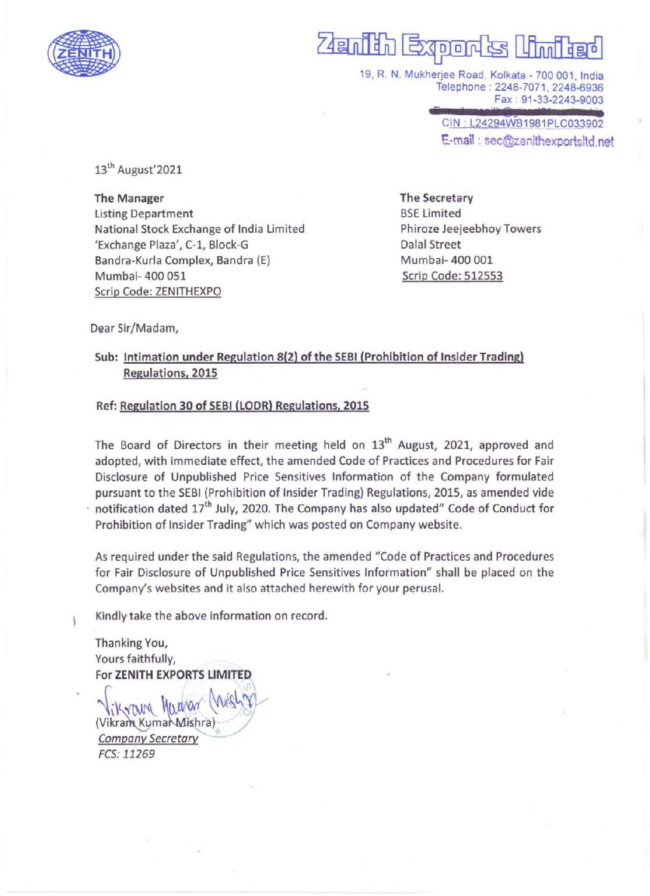

# $\overline{\phantom{a}}$ zain din Extern

19, R. N. Mukherjee Road, Kolkata - 700 001, India Telephone : 2248-7071, 2248-6936 Fax: 91-33-2243-9003

> CIN : L24294WB1981PLC033902 E-mail : sec@zenithexportsltd.net

13" August'2021

The Manager The Secretary Listing Department BSE Limited National Stock Exchange of India Limited Phiroze Jeejeebhoy Towers 'Exchange Plaza', C-1, Block-G Dalal Street Bandra-Kurla Complex, Bandra (E)  $M$ umbai- 400 001 Mumbai- 400 051 Scrip Code: 512553 Scrip Code: ZENITHEXPO

Dear Sir/Madam,

### Sub: Intimation under Regulation 8(2) of the SEBI (Prohibition of Insider Trading) Regulations, 2015

#### Ref: Regulation 30 of SEBI (LODR) Regulations, 2015

The Board of Directors in their meeting held on 13<sup>th</sup> August, 2021, approved and adopted, with immediate effect, the amended Code of Practices and Procedures for Fair Disclosure of Unpublished Price Sensitives Information of the Company formulated pursuant to the SEBI (Prohibition of Insider Trading) Regulations, 2015, as amended vide  $\cdot$  notification dated 17<sup>th</sup> July, 2020. The Company has also updated" Code of Conduct for Prohibition of Insider Trading" which was posted on Company website.

As required under the said Regulations, the amended "Code of Practices and Procedures for Fair Disclosure of Unpublished Price Sensitives Information" shall be placed on the Company's websites and it also attached herewith for your perusal.

Kindly take the above information on record.

Thanking You, Yours faithfully, For ZENITH EXPORTS LIMITED

"lik Young Muurum" (1995) Vikram Kumał Mishra)<br>Company Secretary FCS: 11269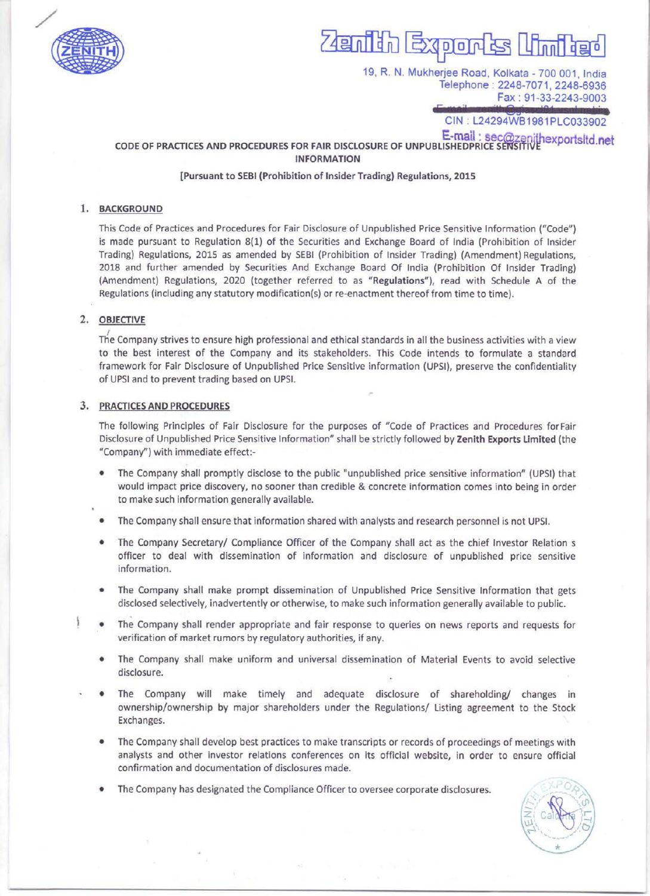

# $\overline{\phantom{a}}$ ERIM Poresalimibed EX

19, R. N. Mukherjee Road, Kolkata - 700 001, India Telephone : 2248-7071, 2248-6936 Fax: 91-33-2243-9003

CIN: L24294WB1981PLC033902

### CODE OF PRACTICES AND PROCEDURES FOR FAIR DISCLOSURE OF UNPUBLISHEDPRICE SENSITIVE Apports it det INFORMATION

#### [Pursuant to SEBI (Prohibition of Insider Trading) Regulations, 2015

#### 1. BACKGROUND

This Code of Practices and Procedures for Fair Disclosure of Unpublished Price Sensitive Information ("Code") is made pursuant to Regulation 8(1) of the Securities and Exchange Board of India (Prohibition of Insider Trading) Regulations, 2015 as amended by SEBI (Prohibition of Insider Trading) (Amendment) Regulations, 2018 and further amended by Securities And Exchange Board Of India (Prohibition Of Insider Trading) (Amendment) Regulations, 2020 (together referred to as "Regulations"), read with Schedule A of the Regulations (including any statutory modification(s) or re-enactment thereof from time to time).

#### 2. OBJECTIVE

i<br>L

The Company strives to ensure high professional and ethical standards in all the business activities with a view to the best interest of the Company and its stakeholders. This Code intends to formulate a standard framework for Fair Disclosure of Unpublished Price Sensitive information (UPSI), preserve the confidentiality of UPSI and to prevent trading based on UPSI. 2018 and further amended by Securities And Exchandrent) Regulations, (2200 (together references)<br>
Amendment Regulations, 2020 (together references<br>
Trie Company strives to ensure high professional and<br>
to the best interes

#### 3. PRACTICES AND PROCEDURES

The following Principles of Fair Disclosure for the purposes of "Code of Practices and Procedures for Fair Disclosure of Unpublished Price Sensitive Information" shall be strictly followed by Zenith Exports Limited (the "Company") with immediate effect:-

- The Company shall promptly disclose to the public "unpublished price sensitive information" (UPSI) that would impact price discovery, no sooner than credible & concrete information comes into being in order to make such information generally available.
- The Company shall ensure that information shared with analysts and research personnel is not UPSI.
- The Company Secretary/ Compliance Officer of the Company shall act as the chief Investor Relation s officer to deal with dissemination of information and disclosure of unpublished price sensitive information.
- The Company shall make prompt dissemination of Unpublished Price Sensitive Information that gets disclosed selectively, inadvertently or otherwise, to make such information generally available to public.
- The Company shall render appropriate and fair response to queries on news reports and requests for verification of market rumors by regulatory authorities, if any.
- The Company shall make uniform and universal dissemination of Material Events to avoid selective disclosure.
- The Company will make timely and adequate disclosure of shareholding/ changes in ownership/ownership by major shareholders under the Regulations/ Listing agreement to the Stock Exchanges.
- @ The Company shall develop best practices to make transcripts or records of proceedings of meetings with analysts and other investor relations conferences on its official website, in order to ensure official confirmation and documentation of disclosures made.
- The Company has designated the Compliance Officer to oversee corporate disclosures.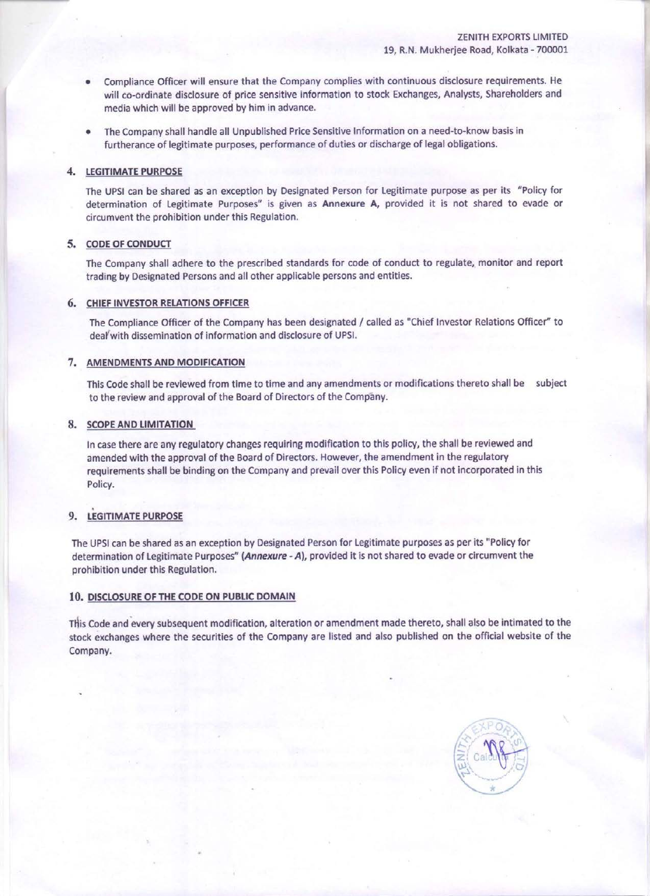- e Compliance Officer will ensure that the Company complies with continuous disclosure requirements. He will co-ordinate disclosure of price sensitive information to stock Exchanges, Analysts, Shareholders and media which will be approved by him in advance.
- The Company shall handle all Unpublished Price Sensitive Information on a need-to-know basis in furtherance of legitimate purposes, performance of duties or discharge of legal obligations.

#### 4, LEGITIMATE PURPOSE

The UPSI can be shared as an exception by Designated Person for Legitimate purpose as per its "Policy for determination of Legitimate Purposes" is given as Annexure A, provided it is not shared to evade or circumvent the prohibition under this Regulation.

#### 5. CODE OF CONDUCT

The Company shall adhere to the prescribed standards for code of conduct to regulate, monitor and report trading by Designated Persons and all other applicable persons and entities.

#### 6. CHIEF INVESTOR RELATIONS OFFICER

The Compliance Officer of the Company has been designated / called as "Chief Investor Relations Officer" to deal with dissemination of information and disclosure of UPSI.

#### 7. AMENDMENTS AND MODIFICATION

This Code shall be reviewed from time to time and any amendments or modifications thereto shall be subject to the review and approval of the Board of Directors of the Company.

#### 8. SCOPE AND LIMITATION

In case there are any regulatory changes requiring modification to this policy, the shall be reviewed and amended with the approval of the Board of Directors. However, the amendment in the regulatory requirements shall be binding on the Company and prevail over this Policy even if not incorporated in this Policy.

#### 9, LEGITIMATE PURPOSE

The UPSI can be shared as an exception by Designated Person for Legitimate purposes as per its "Policy for determination of Legitimate Purposes" (Annexure - A), provided it is not shared to evade or circumvent the prohibition under this Regulation.

#### 10. DISCLOSURE OF THE CODE ON PUBLIC DOMAIN

THis Code and every subsequent modification, alteration or amendment made thereto, shall also be intimated to the stock exchanges where the securities of the Company are listed and also published on the official website of the Company.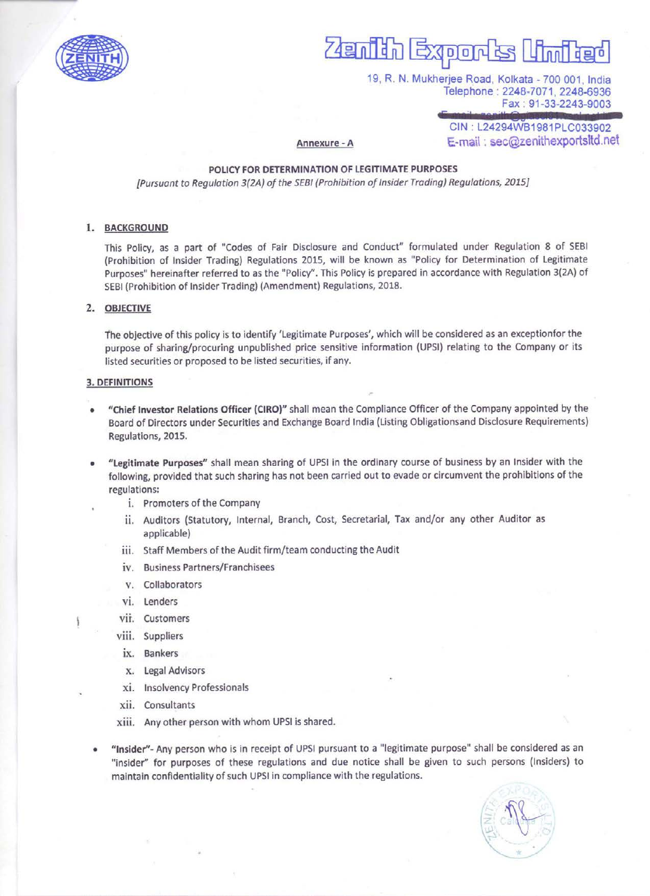

### ls li  $\overline{\phantom{a}}$  $\overline{R}$ ∏ដកា  $5000$

19, R. N. Mukherjee Road, Kolkata - 700 001, India Telephone : 2248-7071, 2248-6936 Fax : 91-33-2243-9003

CIN : L24294WB1981PLC033902 Annexure - A **E-mail** : sec@zenithexportsltd.net

#### POLICY FOR DETERMINATION OF LEGITIMATE PURPOSES

[Pursuant to Regulation 3(2A) of the SEBI (Prohibition of Insider Trading) Regulations, 2015]

#### 1. BACKGROUND

This Policy, as a part of "Codes of Fair Disclosure and Conduct" formulated under Regulation 8 of SEBI (Prohibition of Insider Trading) Regulations 2015, will be known as "Policy for Determination of Legitimate Purposes" hereinafter referred to as the "Policy". This Policy is prepared in accordance with Regulation 3(2A) of SEBI (Prohibition of Insider Trading) (Amendment) Regulations, 2018.

#### 2. OBJECTIVE

The objective of this policy is to identify 'Legitimate Purposes', which will be considered as an exceptionfor the purpose of sharing/procuring unpublished price sensitive information (UPS!) relating to the Company or its listed securities or proposed to be listed securities, if any.

#### 3. DEFINITIONS

- "Chief Investor Relations Officer (CIRO)" shall mean the Compliance Officer of the Company appointed by the Board of Directors under Securities and Exchange Board India (Listing Obligationsand Disclosure Requirements) Regulations, 2015.
- "Legitimate Purposes" shall mean sharing of UPSI in the ordinary course of business by an Insider with the following, provided that such sharing has not been carried out to evade or circumvent the prohibitions of the regulations:
	- i. Promoters of the Company
	- ii. Auditors (Statutory, Internal, Branch, Cost, Secretarial, Tax and/or any other Auditor as applicable)
	- iii. Staff Members of the Audit firm/team conducting the Audit
	- iv. Business Partners/Franchisees
	- v. Collaborators
	- vi. Lenders
	- vii. Customers
	- viii. Suppliers
	- ix. Bankers
	- x. Legal Advisors
	- xi. Insolvency Professionals
	- xii. Consultants

xiii. Any other person with whom UPSI is shared.

"Insider"- Any person who is in receipt of UPSI pursuant to a "legitimate purpose" shall be considered as an "insider" for purposes of these regulations and due notice shall be given to such persons (Insiders) to maintain confidentiality of such UPS! in compliance with the regulations.

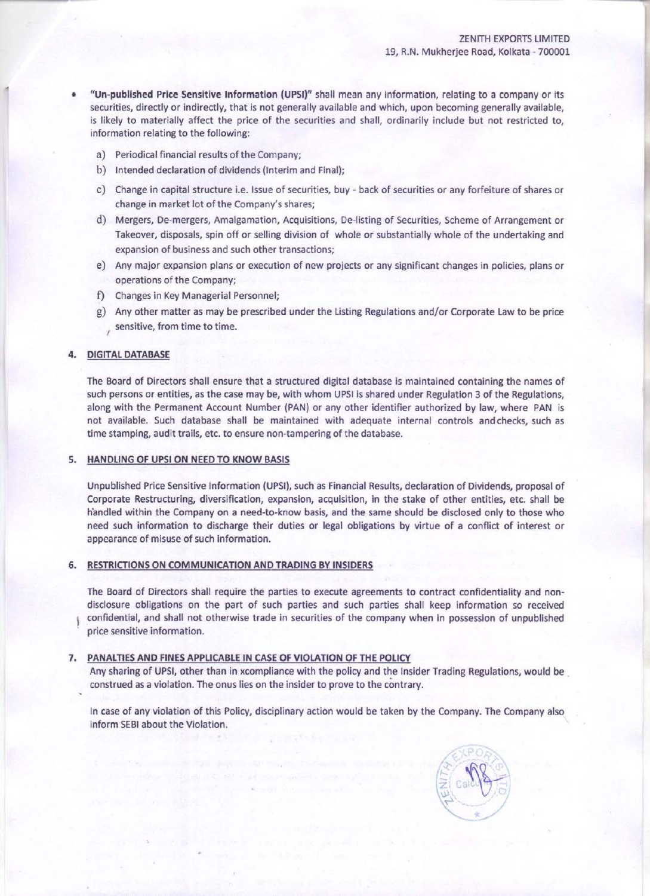- "Un-published Price Sensitive Information (UPSI)" shall mean any information, relating to a company or its securities, directly or indirectly, that is not generally available and which, upon becoming generally available, is likely to materially affect the price of the securities and shall, ordinarily include but not restricted to, information relating to the following:
	- a) Periodical financial results of the Company;
	- b) Intended declaration of dividends (Interim and Final);
	- c) Change in capital structure i.e. Issue of securities, buy back of securities or any forfeiture of shares or change in market lot of the Company's shares;
	- d) Mergers, De-mergers, Amalgamation, Acquisitions, De-listing of Securities, Scheme of Arrangement or Takeover, disposals, spin off or selling division of whole or substantially whole of the undertaking and expansion of business and such other transactions;
	- e) Any major expansion plans or execution of new projects or any significant changes in policies, plans or operations of the Company;
	- f) Changes in Key Managerial Personnel;
	- g) Any other matter as may be prescribed under the Listing Regulations and/or Corporate Law to be price i sensitive, from time to time.

#### **4. DIGITAL DATABASE**

The Board of Directors shall ensure that a structured digital database is maintained containing the names of such persons or entities, as the case may be, with whom UPSI is shared under Regulation 3 of the Regulations, along with the Permanent Account Number (PAN) or any other identifier authorized by law, where PAN is not available. Such database shall be maintained with adequate internal controls andchecks, such as time stamping, audit trails, etc. to ensure non-tampering of the database.

#### 5. HANDLING OF UPSI ON NEED TO KNOW BASIS

Unpublished Price Sensitive Information (UPSI), such as Financial Results, declaration of Dividends, proposal of Corporate Restructuring, diversification, expansion, acquisition, in the stake of other entities, etc. shall be handled within the Company on a need-to-know basis, and the same should be disclosed only to those who need such information to discharge their duties or legal obligations by virtue of a conflict of interest or appearance of misuse of such information.

#### RESTRICTIONS ON COMMUNICATION AND TRADING BY INSIDERS

The Board of Directors shall require the parties to execute agreements to contract confidentiality and nondisclosure obligations on the part of such parties and such parties shall keep information so received confidential, and shall not otherwise trade in securities of the company when in possession of unpublished price sensitive information.

#### PANALTIES AND FINES APPLICABLE IN CASE OF VIOLATION OF THE POLICY

Any sharing of UPSI, other than in xcompliance with the policy and the Insider Trading Regulations, would be construed as a violation. The onus lies on the insider to prove to the contrary.

In case of any violation of this Policy, disciplinary action would be taken by the Company. The Company also inform SEBI about the Violation.